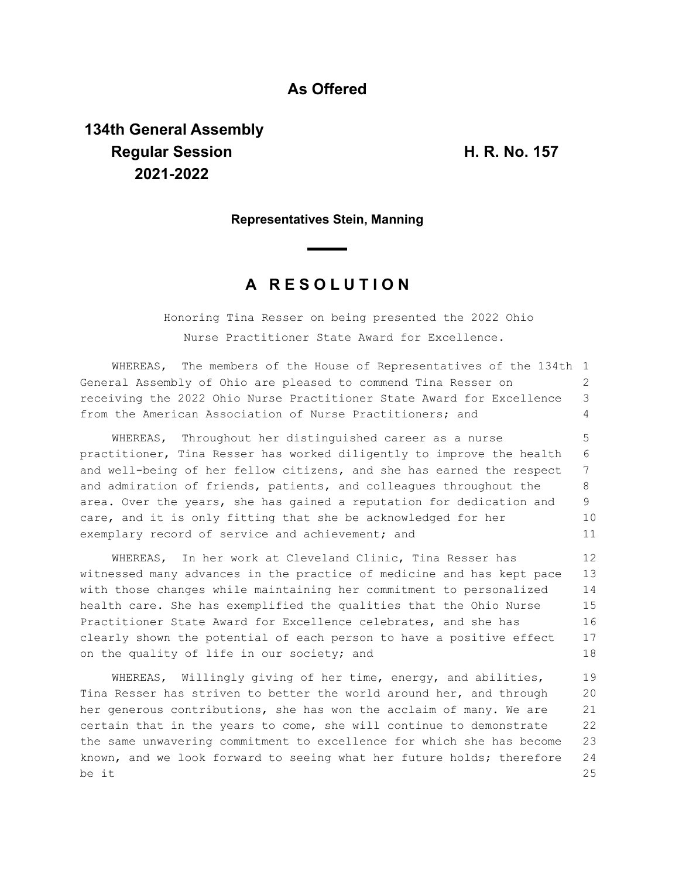## **As Offered**

# **134th General Assembly Regular Session H. R. No. 157 2021-2022**

### **Representatives Stein, Manning**

# **A R E S O L U T I O N**

Honoring Tina Resser on being presented the 2022 Ohio Nurse Practitioner State Award for Excellence.

WHEREAS, The members of the House of Representatives of the 134th 1 General Assembly of Ohio are pleased to commend Tina Resser on receiving the 2022 Ohio Nurse Practitioner State Award for Excellence from the American Association of Nurse Practitioners; and  $\mathcal{D}$ 3 4

WHEREAS, Throughout her distinguished career as a nurse practitioner, Tina Resser has worked diligently to improve the health and well-being of her fellow citizens, and she has earned the respect and admiration of friends, patients, and colleagues throughout the area. Over the years, she has gained a reputation for dedication and care, and it is only fitting that she be acknowledged for her exemplary record of service and achievement; and 5 6 7 8 9 10 11

WHEREAS, In her work at Cleveland Clinic, Tina Resser has witnessed many advances in the practice of medicine and has kept pace with those changes while maintaining her commitment to personalized health care. She has exemplified the qualities that the Ohio Nurse Practitioner State Award for Excellence celebrates, and she has clearly shown the potential of each person to have a positive effect on the quality of life in our society; and 12 13 14 15 16 17 18

WHEREAS, Willingly giving of her time, energy, and abilities, Tina Resser has striven to better the world around her, and through her generous contributions, she has won the acclaim of many. We are certain that in the years to come, she will continue to demonstrate the same unwavering commitment to excellence for which she has become known, and we look forward to seeing what her future holds; therefore be it 19 20 21 22 23 24 25